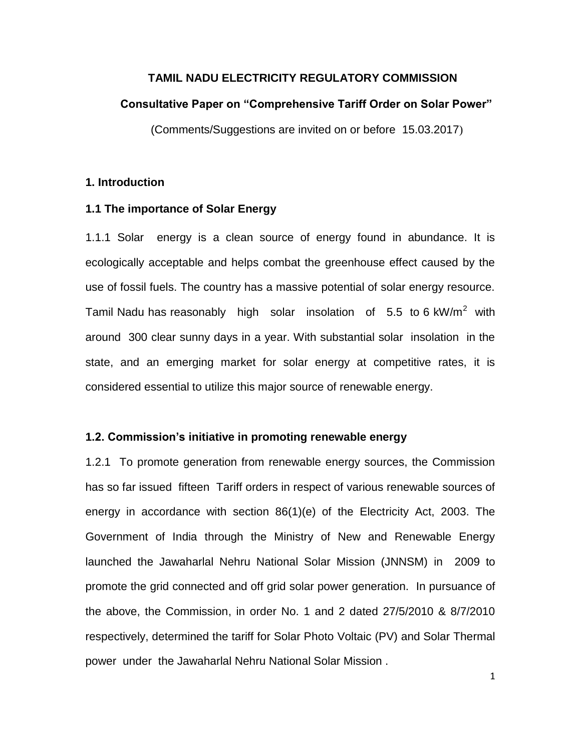## **TAMIL NADU ELECTRICITY REGULATORY COMMISSION**

#### **Consultative Paper on "Comprehensive Tariff Order on Solar Power"**

(Comments/Suggestions are invited on or before 15.03.2017)

## **1. Introduction**

## **1.1 The importance of Solar Energy**

1.1.1 Solar energy is a clean source of energy found in abundance. It is ecologically acceptable and helps combat the greenhouse effect caused by the use of fossil fuels. The country has a massive potential of solar energy resource. Tamil Nadu has reasonably high solar insolation of 5.5 to 6 kW/m<sup>2</sup> with around 300 clear sunny days in a year. With substantial solar insolation in the state, and an emerging market for solar energy at competitive rates, it is considered essential to utilize this major source of renewable energy.

### **1.2. Commission's initiative in promoting renewable energy**

1.2.1 To promote generation from renewable energy sources, the Commission has so far issued fifteen Tariff orders in respect of various renewable sources of energy in accordance with section 86(1)(e) of the Electricity Act, 2003. The Government of India through the Ministry of New and Renewable Energy launched the Jawaharlal Nehru National Solar Mission (JNNSM) in 2009 to promote the grid connected and off grid solar power generation. In pursuance of the above, the Commission, in order No. 1 and 2 dated 27/5/2010 & 8/7/2010 respectively, determined the tariff for Solar Photo Voltaic (PV) and Solar Thermal power under the Jawaharlal Nehru National Solar Mission .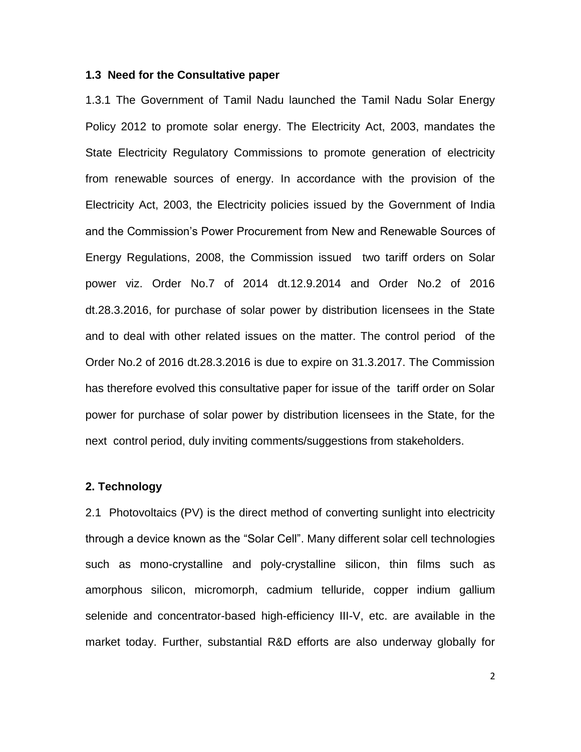### **1.3 Need for the Consultative paper**

1.3.1 The Government of Tamil Nadu launched the Tamil Nadu Solar Energy Policy 2012 to promote solar energy. The Electricity Act, 2003, mandates the State Electricity Regulatory Commissions to promote generation of electricity from renewable sources of energy. In accordance with the provision of the Electricity Act, 2003, the Electricity policies issued by the Government of India and the Commission's Power Procurement from New and Renewable Sources of Energy Regulations, 2008, the Commission issued two tariff orders on Solar power viz. Order No.7 of 2014 dt.12.9.2014 and Order No.2 of 2016 dt.28.3.2016, for purchase of solar power by distribution licensees in the State and to deal with other related issues on the matter. The control period of the Order No.2 of 2016 dt.28.3.2016 is due to expire on 31.3.2017. The Commission has therefore evolved this consultative paper for issue of the tariff order on Solar power for purchase of solar power by distribution licensees in the State, for the next control period, duly inviting comments/suggestions from stakeholders.

## **2. Technology**

2.1 Photovoltaics (PV) is the direct method of converting sunlight into electricity through a device known as the "Solar Cell". Many different solar cell technologies such as mono-crystalline and poly-crystalline silicon, thin films such as amorphous silicon, micromorph, cadmium telluride, copper indium gallium selenide and concentrator-based high-efficiency III-V, etc. are available in the market today. Further, substantial R&D efforts are also underway globally for

2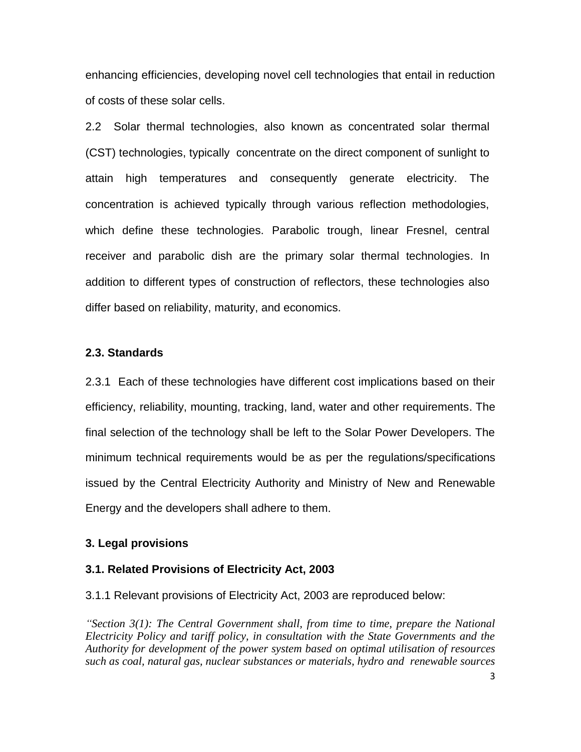enhancing efficiencies, developing novel cell technologies that entail in reduction of costs of these solar cells.

2.2 Solar thermal technologies, also known as concentrated solar thermal (CST) technologies, typically concentrate on the direct component of sunlight to attain high temperatures and consequently generate electricity. The concentration is achieved typically through various reflection methodologies, which define these technologies. Parabolic trough, linear Fresnel, central receiver and parabolic dish are the primary solar thermal technologies. In addition to different types of construction of reflectors, these technologies also differ based on reliability, maturity, and economics.

### **2.3. Standards**

2.3.1 Each of these technologies have different cost implications based on their efficiency, reliability, mounting, tracking, land, water and other requirements. The final selection of the technology shall be left to the Solar Power Developers. The minimum technical requirements would be as per the regulations/specifications issued by the Central Electricity Authority and Ministry of New and Renewable Energy and the developers shall adhere to them.

## **3. Legal provisions**

#### **3.1. Related Provisions of Electricity Act, 2003**

3.1.1 Relevant provisions of Electricity Act, 2003 are reproduced below:

*"Section 3(1): The Central Government shall, from time to time, prepare the National Electricity Policy and tariff policy, in consultation with the State Governments and the Authority for development of the power system based on optimal utilisation of resources such as coal, natural gas, nuclear substances or materials, hydro and renewable sources*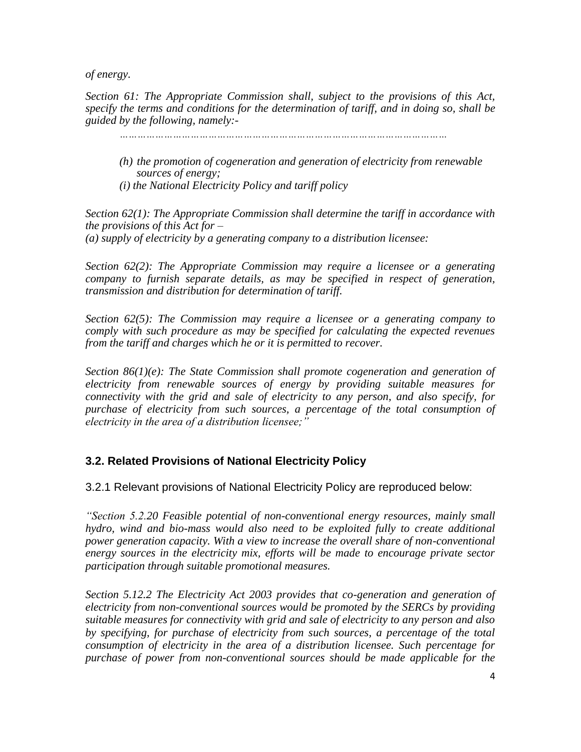*of energy.*

*Section 61: The Appropriate Commission shall, subject to the provisions of this Act, specify the terms and conditions for the determination of tariff, and in doing so, shall be guided by the following, namely:-*

*…………………………………………………………………………………………………*

- *(h) the promotion of cogeneration and generation of electricity from renewable sources of energy;*
- *(i) the National Electricity Policy and tariff policy*

*Section 62(1): The Appropriate Commission shall determine the tariff in accordance with the provisions of this Act for – (a) supply of electricity by a generating company to a distribution licensee:*

*Section 62(2): The Appropriate Commission may require a licensee or a generating company to furnish separate details, as may be specified in respect of generation, transmission and distribution for determination of tariff.*

*Section 62(5): The Commission may require a licensee or a generating company to comply with such procedure as may be specified for calculating the expected revenues from the tariff and charges which he or it is permitted to recover.*

*Section 86(1)(e): The State Commission shall promote cogeneration and generation of electricity from renewable sources of energy by providing suitable measures for connectivity with the grid and sale of electricity to any person, and also specify, for purchase of electricity from such sources, a percentage of the total consumption of electricity in the area of a distribution licensee;"*

# **3.2. Related Provisions of National Electricity Policy**

3.2.1 Relevant provisions of National Electricity Policy are reproduced below:

*"Section 5.2.20 Feasible potential of non-conventional energy resources, mainly small hydro, wind and bio-mass would also need to be exploited fully to create additional power generation capacity. With a view to increase the overall share of non-conventional energy sources in the electricity mix, efforts will be made to encourage private sector participation through suitable promotional measures.*

*Section 5.12.2 The Electricity Act 2003 provides that co-generation and generation of electricity from non-conventional sources would be promoted by the SERCs by providing suitable measures for connectivity with grid and sale of electricity to any person and also by specifying, for purchase of electricity from such sources, a percentage of the total consumption of electricity in the area of a distribution licensee. Such percentage for purchase of power from non-conventional sources should be made applicable for the*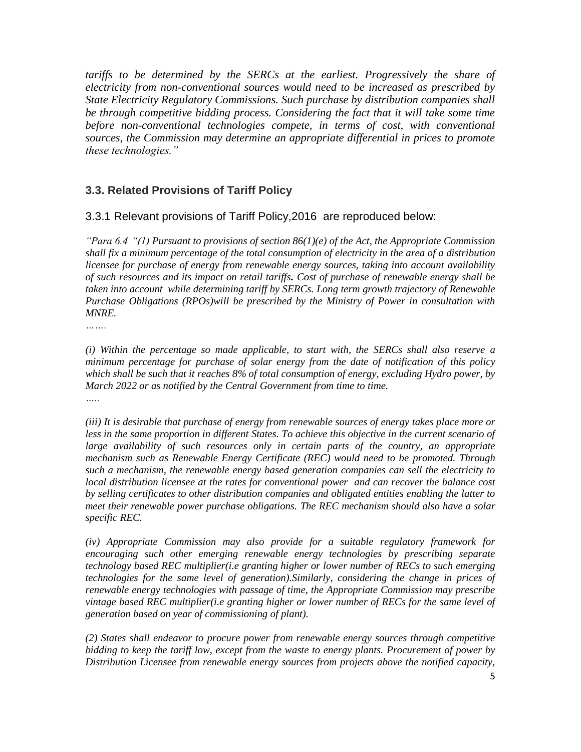*tariffs to be determined by the SERCs at the earliest. Progressively the share of electricity from non-conventional sources would need to be increased as prescribed by State Electricity Regulatory Commissions. Such purchase by distribution companies shall*  be through competitive bidding process. Considering the fact that it will take some time *before non-conventional technologies compete, in terms of cost, with conventional sources, the Commission may determine an appropriate differential in prices to promote these technologies."*

# **3.3. Related Provisions of Tariff Policy**

# 3.3.1 Relevant provisions of Tariff Policy,2016 are reproduced below:

*"Para 6.4 "(1) Pursuant to provisions of section 86(1)(e) of the Act, the Appropriate Commission shall fix a minimum percentage of the total consumption of electricity in the area of a distribution licensee for purchase of energy from renewable energy sources, taking into account availability of such resources and its impact on retail tariffs. Cost of purchase of renewable energy shall be taken into account while determining tariff by SERCs. Long term growth trajectory of Renewable Purchase Obligations (RPOs)will be prescribed by the Ministry of Power in consultation with MNRE.*

*…….*

*(i) Within the percentage so made applicable, to start with, the SERCs shall also reserve a minimum percentage for purchase of solar energy from the date of notification of this policy which shall be such that it reaches 8% of total consumption of energy, excluding Hydro power, by March 2022 or as notified by the Central Government from time to time. …..*

*(iii) It is desirable that purchase of energy from renewable sources of energy takes place more or*  less in the same proportion in different States. To achieve this objective in the current scenario of *large availability of such resources only in certain parts of the country, an appropriate mechanism such as Renewable Energy Certificate (REC) would need to be promoted. Through such a mechanism, the renewable energy based generation companies can sell the electricity to local distribution licensee at the rates for conventional power and can recover the balance cost by selling certificates to other distribution companies and obligated entities enabling the latter to meet their renewable power purchase obligations. The REC mechanism should also have a solar specific REC.*

*(iv) Appropriate Commission may also provide for a suitable regulatory framework for encouraging such other emerging renewable energy technologies by prescribing separate technology based REC multiplier(i.e granting higher or lower number of RECs to such emerging technologies for the same level of generation).Similarly, considering the change in prices of renewable energy technologies with passage of time, the Appropriate Commission may prescribe vintage based REC multiplier(i.e granting higher or lower number of RECs for the same level of generation based on year of commissioning of plant).*

*(2) States shall endeavor to procure power from renewable energy sources through competitive bidding to keep the tariff low, except from the waste to energy plants. Procurement of power by Distribution Licensee from renewable energy sources from projects above the notified capacity,*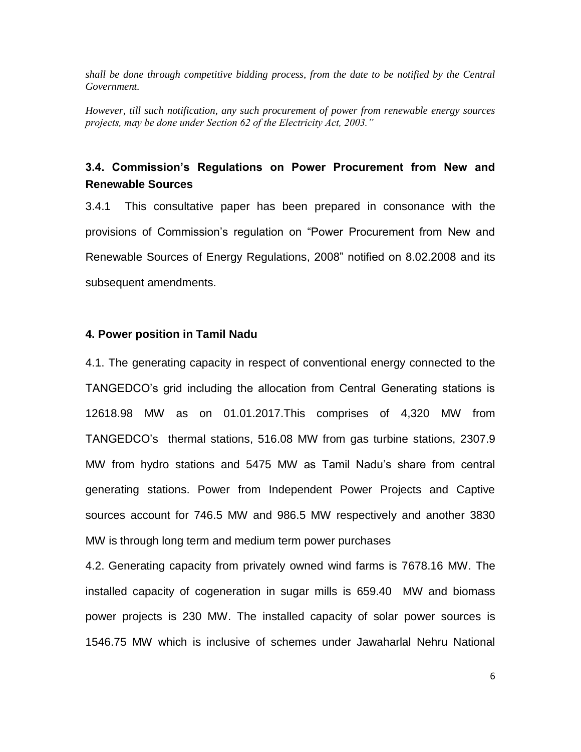*shall be done through competitive bidding process, from the date to be notified by the Central Government.*

*However, till such notification, any such procurement of power from renewable energy sources projects, may be done under Section 62 of the Electricity Act, 2003."*

# **3.4. Commission's Regulations on Power Procurement from New and Renewable Sources**

3.4.1 This consultative paper has been prepared in consonance with the provisions of Commission's regulation on "Power Procurement from New and Renewable Sources of Energy Regulations, 2008" notified on 8.02.2008 and its subsequent amendments.

## **4. Power position in Tamil Nadu**

4.1. The generating capacity in respect of conventional energy connected to the TANGEDCO's grid including the allocation from Central Generating stations is 12618.98 MW as on 01.01.2017.This comprises of 4,320 MW from TANGEDCO's thermal stations, 516.08 MW from gas turbine stations, 2307.9 MW from hydro stations and 5475 MW as Tamil Nadu's share from central generating stations. Power from Independent Power Projects and Captive sources account for 746.5 MW and 986.5 MW respectively and another 3830 MW is through long term and medium term power purchases

4.2. Generating capacity from privately owned wind farms is 7678.16 MW. The installed capacity of cogeneration in sugar mills is 659.40 MW and biomass power projects is 230 MW. The installed capacity of solar power sources is 1546.75 MW which is inclusive of schemes under Jawaharlal Nehru National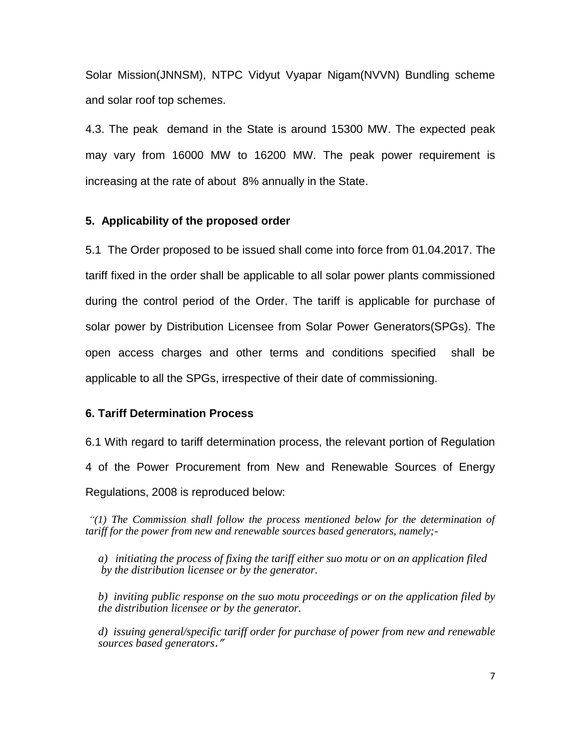Solar Mission(JNNSM), NTPC Vidyut Vyapar Nigam(NVVN) Bundling scheme and solar roof top schemes.

4.3. The peak demand in the State is around 15300 MW. The expected peak may vary from 16000 MW to 16200 MW. The peak power requirement is increasing at the rate of about 8% annually in the State.

### **5. Applicability of the proposed order**

5.1 The Order proposed to be issued shall come into force from 01.04.2017. The tariff fixed in the order shall be applicable to all solar power plants commissioned during the control period of the Order. The tariff is applicable for purchase of solar power by Distribution Licensee from Solar Power Generators(SPGs). The open access charges and other terms and conditions specified shall be applicable to all the SPGs, irrespective of their date of commissioning.

## **6. Tariff Determination Process**

6.1 With regard to tariff determination process, the relevant portion of Regulation 4 of the Power Procurement from New and Renewable Sources of Energy Regulations, 2008 is reproduced below:

*"(1) The Commission shall follow the process mentioned below for the determination of tariff for the power from new and renewable sources based generators, namely;-*

*a) initiating the process of fixing the tariff either suo motu or on an application filed by the distribution licensee or by the generator.* 

*b) inviting public response on the suo motu proceedings or on the application filed by the distribution licensee or by the generator.* 

*d) issuing general/specific tariff order for purchase of power from new and renewable sources based generators*."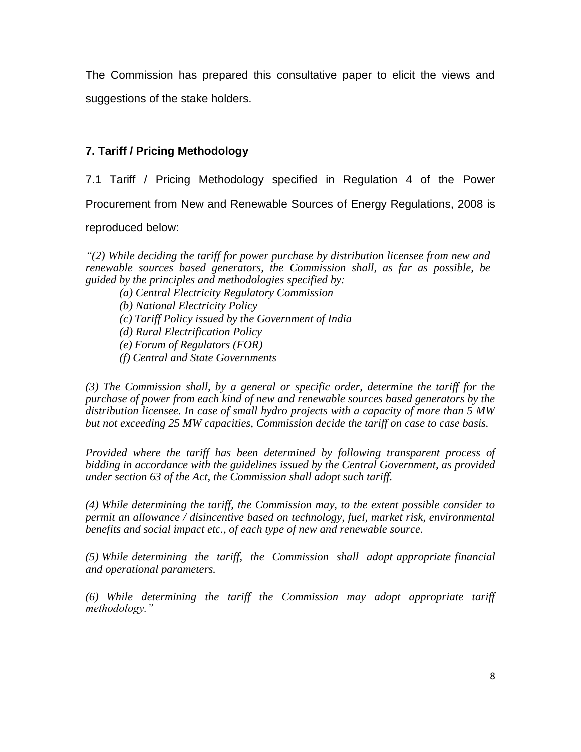The Commission has prepared this consultative paper to elicit the views and suggestions of the stake holders.

# **7. Tariff / Pricing Methodology**

7.1 Tariff / Pricing Methodology specified in Regulation 4 of the Power Procurement from New and Renewable Sources of Energy Regulations, 2008 is

reproduced below:

*"(2) While deciding the tariff for power purchase by distribution licensee from new and renewable sources based generators, the Commission shall, as far as possible, be guided by the principles and methodologies specified by:*

- *(a) Central Electricity Regulatory Commission*
- *(b) National Electricity Policy*
- *(c) Tariff Policy issued by the Government of India*
- *(d) Rural Electrification Policy*
- *(e) Forum of Regulators (FOR)*
- *(f) Central and State Governments*

*(3) The Commission shall, by a general or specific order, determine the tariff for the purchase of power from each kind of new and renewable sources based generators by the distribution licensee. In case of small hydro projects with a capacity of more than 5 MW but not exceeding 25 MW capacities, Commission decide the tariff on case to case basis.* 

*Provided where the tariff has been determined by following transparent process of bidding in accordance with the guidelines issued by the Central Government, as provided under section 63 of the Act, the Commission shall adopt such tariff.*

*(4) While determining the tariff, the Commission may, to the extent possible consider to permit an allowance / disincentive based on technology, fuel, market risk, environmental benefits and social impact etc., of each type of new and renewable source.* 

*(5) While determining the tariff, the Commission shall adopt appropriate financial and operational parameters.* 

*(6) While determining the tariff the Commission may adopt appropriate tariff methodology."*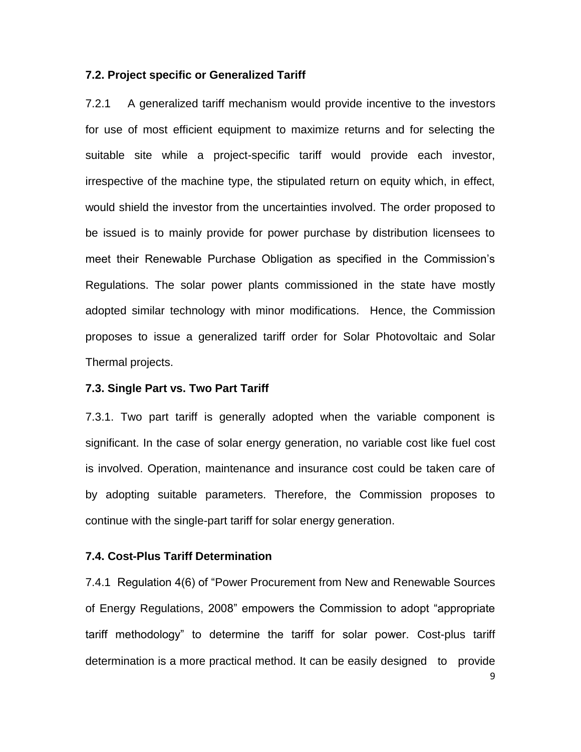### **7.2. Project specific or Generalized Tariff**

7.2.1 A generalized tariff mechanism would provide incentive to the investors for use of most efficient equipment to maximize returns and for selecting the suitable site while a project-specific tariff would provide each investor, irrespective of the machine type, the stipulated return on equity which, in effect, would shield the investor from the uncertainties involved. The order proposed to be issued is to mainly provide for power purchase by distribution licensees to meet their Renewable Purchase Obligation as specified in the Commission's Regulations. The solar power plants commissioned in the state have mostly adopted similar technology with minor modifications. Hence, the Commission proposes to issue a generalized tariff order for Solar Photovoltaic and Solar Thermal projects.

### **7.3. Single Part vs. Two Part Tariff**

7.3.1. Two part tariff is generally adopted when the variable component is significant. In the case of solar energy generation, no variable cost like fuel cost is involved. Operation, maintenance and insurance cost could be taken care of by adopting suitable parameters. Therefore, the Commission proposes to continue with the single-part tariff for solar energy generation.

## **7.4. Cost-Plus Tariff Determination**

7.4.1 Regulation 4(6) of "Power Procurement from New and Renewable Sources of Energy Regulations, 2008" empowers the Commission to adopt "appropriate tariff methodology" to determine the tariff for solar power. Cost-plus tariff determination is a more practical method. It can be easily designed to provide

9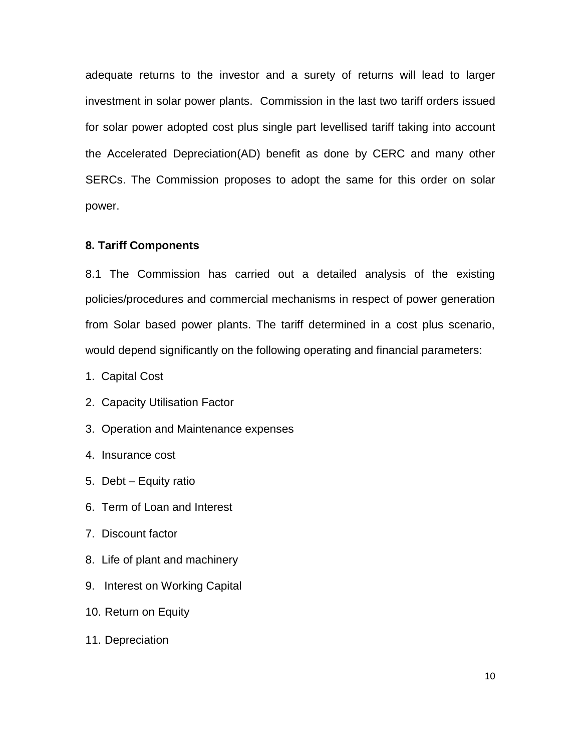adequate returns to the investor and a surety of returns will lead to larger investment in solar power plants. Commission in the last two tariff orders issued for solar power adopted cost plus single part levellised tariff taking into account the Accelerated Depreciation(AD) benefit as done by CERC and many other SERCs. The Commission proposes to adopt the same for this order on solar power.

## **8. Tariff Components**

8.1 The Commission has carried out a detailed analysis of the existing policies/procedures and commercial mechanisms in respect of power generation from Solar based power plants. The tariff determined in a cost plus scenario, would depend significantly on the following operating and financial parameters:

- 1. Capital Cost
- 2. Capacity Utilisation Factor
- 3. Operation and Maintenance expenses
- 4. Insurance cost
- 5. Debt Equity ratio
- 6. Term of Loan and Interest
- 7. Discount factor
- 8. Life of plant and machinery
- 9. Interest on Working Capital
- 10. Return on Equity
- 11. Depreciation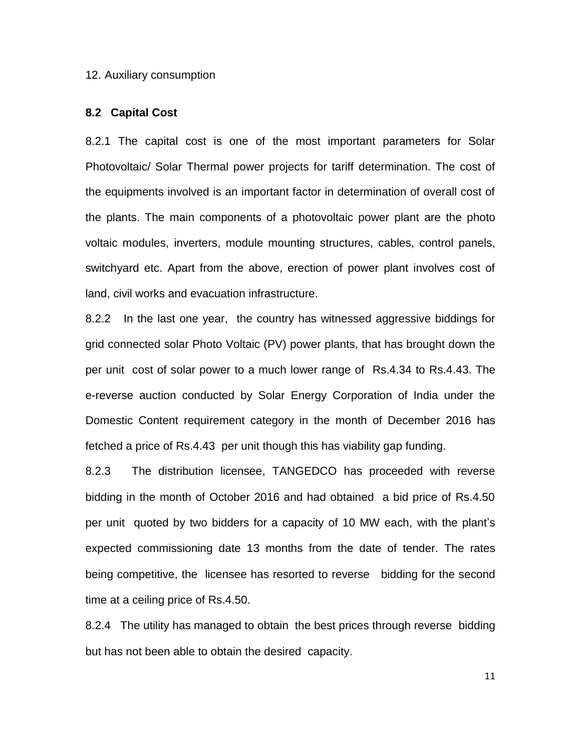#### 12. Auxiliary consumption

### **8.2 Capital Cost**

8.2.1 The capital cost is one of the most important parameters for Solar Photovoltaic/ Solar Thermal power projects for tariff determination. The cost of the equipments involved is an important factor in determination of overall cost of the plants. The main components of a photovoltaic power plant are the photo voltaic modules, inverters, module mounting structures, cables, control panels, switchyard etc. Apart from the above, erection of power plant involves cost of land, civil works and evacuation infrastructure.

8.2.2 In the last one year, the country has witnessed aggressive biddings for grid connected solar Photo Voltaic (PV) power plants, that has brought down the per unit cost of solar power to a much lower range of Rs.4.34 to Rs.4.43. The e-reverse auction conducted by Solar Energy Corporation of India under the Domestic Content requirement category in the month of December 2016 has fetched a price of Rs.4.43 per unit though this has viability gap funding.

8.2.3 The distribution licensee, TANGEDCO has proceeded with reverse bidding in the month of October 2016 and had obtained a bid price of Rs.4.50 per unit quoted by two bidders for a capacity of 10 MW each, with the plant's expected commissioning date 13 months from the date of tender. The rates being competitive, the licensee has resorted to reverse bidding for the second time at a ceiling price of Rs.4.50.

8.2.4 The utility has managed to obtain the best prices through reverse bidding but has not been able to obtain the desired capacity.

11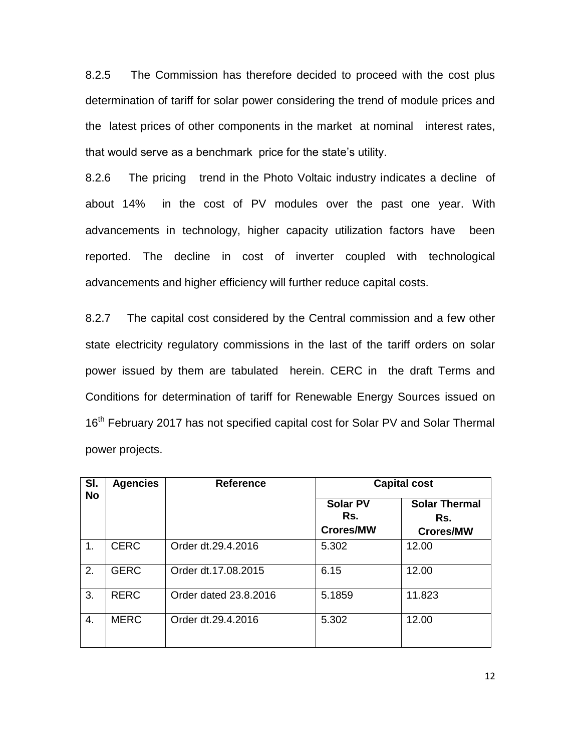8.2.5 The Commission has therefore decided to proceed with the cost plus determination of tariff for solar power considering the trend of module prices and the latest prices of other components in the market at nominal interest rates, that would serve as a benchmark price for the state's utility.

8.2.6 The pricing trend in the Photo Voltaic industry indicates a decline of about 14% in the cost of PV modules over the past one year. With advancements in technology, higher capacity utilization factors have been reported. The decline in cost of inverter coupled with technological advancements and higher efficiency will further reduce capital costs.

8.2.7 The capital cost considered by the Central commission and a few other state electricity regulatory commissions in the last of the tariff orders on solar power issued by them are tabulated herein. CERC in the draft Terms and Conditions for determination of tariff for Renewable Energy Sources issued on 16<sup>th</sup> February 2017 has not specified capital cost for Solar PV and Solar Thermal power projects.

| SI.       | <b>Agencies</b> | <b>Reference</b>      | <b>Capital cost</b>                        |                                                 |  |  |  |  |  |  |  |
|-----------|-----------------|-----------------------|--------------------------------------------|-------------------------------------------------|--|--|--|--|--|--|--|
| <b>No</b> |                 |                       | <b>Solar PV</b><br>Rs.<br><b>Crores/MW</b> | <b>Solar Thermal</b><br>Rs.<br><b>Crores/MW</b> |  |  |  |  |  |  |  |
| 1.        | <b>CERC</b>     | Order dt.29.4.2016    | 5.302                                      | 12.00                                           |  |  |  |  |  |  |  |
| 2.        | <b>GERC</b>     | Order dt.17.08.2015   | 6.15                                       | 12.00                                           |  |  |  |  |  |  |  |
| 3.        | <b>RERC</b>     | Order dated 23.8.2016 | 5.1859                                     | 11.823                                          |  |  |  |  |  |  |  |
| 4.        | <b>MERC</b>     | Order dt.29.4.2016    | 5.302                                      | 12.00                                           |  |  |  |  |  |  |  |

12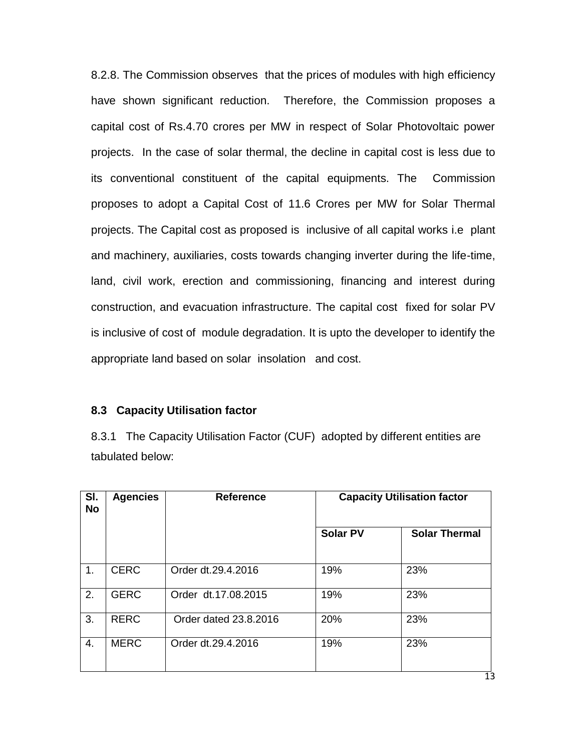8.2.8. The Commission observes that the prices of modules with high efficiency have shown significant reduction. Therefore, the Commission proposes a capital cost of Rs.4.70 crores per MW in respect of Solar Photovoltaic power projects. In the case of solar thermal, the decline in capital cost is less due to its conventional constituent of the capital equipments. The Commission proposes to adopt a Capital Cost of 11.6 Crores per MW for Solar Thermal projects. The Capital cost as proposed is inclusive of all capital works i.e plant and machinery, auxiliaries, costs towards changing inverter during the life-time, land, civil work, erection and commissioning, financing and interest during construction, and evacuation infrastructure. The capital cost fixed for solar PV is inclusive of cost of module degradation. It is upto the developer to identify the appropriate land based on solar insolation and cost.

### **8.3 Capacity Utilisation factor**

8.3.1 The Capacity Utilisation Factor (CUF) adopted by different entities are tabulated below:

| SI.<br><b>No</b> | <b>Agencies</b> | <b>Reference</b>      |                 | <b>Capacity Utilisation factor</b> |  |  |  |  |  |
|------------------|-----------------|-----------------------|-----------------|------------------------------------|--|--|--|--|--|
|                  |                 |                       | <b>Solar PV</b> | <b>Solar Thermal</b>               |  |  |  |  |  |
| 1.               | <b>CERC</b>     | Order dt.29.4.2016    | 19%             | 23%                                |  |  |  |  |  |
| 2.               | <b>GERC</b>     | Order dt.17.08.2015   | 19%             | 23%                                |  |  |  |  |  |
| 3.               | <b>RERC</b>     | Order dated 23.8.2016 | 20%             | 23%                                |  |  |  |  |  |
| 4.               | <b>MERC</b>     | Order dt.29.4.2016    | 19%             | 23%                                |  |  |  |  |  |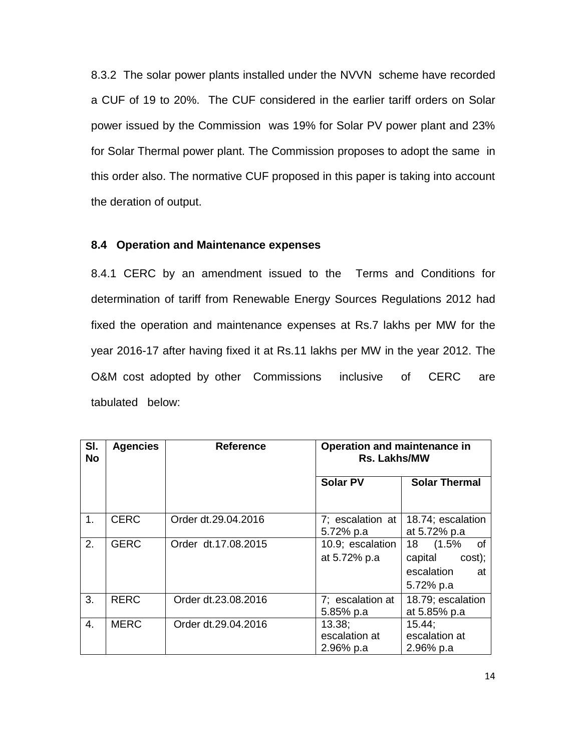8.3.2 The solar power plants installed under the NVVN scheme have recorded a CUF of 19 to 20%. The CUF considered in the earlier tariff orders on Solar power issued by the Commission was 19% for Solar PV power plant and 23% for Solar Thermal power plant. The Commission proposes to adopt the same in this order also. The normative CUF proposed in this paper is taking into account the deration of output.

## **8.4 Operation and Maintenance expenses**

8.4.1 CERC by an amendment issued to the Terms and Conditions for determination of tariff from Renewable Energy Sources Regulations 2012 had fixed the operation and maintenance expenses at Rs.7 lakhs per MW for the year 2016-17 after having fixed it at Rs.11 lakhs per MW in the year 2012. The O&M cost adopted by other Commissions inclusive of CERC are tabulated below:

| SI.<br><b>No</b> | <b>Agencies</b> | <b>Reference</b>    | Operation and maintenance in<br><b>Rs. Lakhs/MW</b> |                                                                       |  |  |  |  |  |  |  |  |
|------------------|-----------------|---------------------|-----------------------------------------------------|-----------------------------------------------------------------------|--|--|--|--|--|--|--|--|
|                  |                 |                     | <b>Solar PV</b>                                     | <b>Solar Thermal</b>                                                  |  |  |  |  |  |  |  |  |
| $1_{-}$          | <b>CERC</b>     | Order dt.29.04.2016 | 7; escalation at<br>5.72% p.a                       | 18.74; escalation<br>at 5.72% p.a                                     |  |  |  |  |  |  |  |  |
| 2.               | <b>GERC</b>     | Order dt.17.08.2015 | 10.9; escalation<br>at 5.72% p.a                    | 18 (1.5%)<br>of<br>capital<br>cost);<br>escalation<br>at<br>5.72% p.a |  |  |  |  |  |  |  |  |
| 3.               | <b>RERC</b>     | Order dt.23.08.2016 | 7; escalation at<br>5.85% p.a                       | 18.79; escalation<br>at 5.85% p.a                                     |  |  |  |  |  |  |  |  |
| 4.               | <b>MERC</b>     | Order dt.29.04.2016 | 13.38;<br>escalation at<br>2.96% p.a                | 15.44:<br>escalation at<br>2.96% p.a                                  |  |  |  |  |  |  |  |  |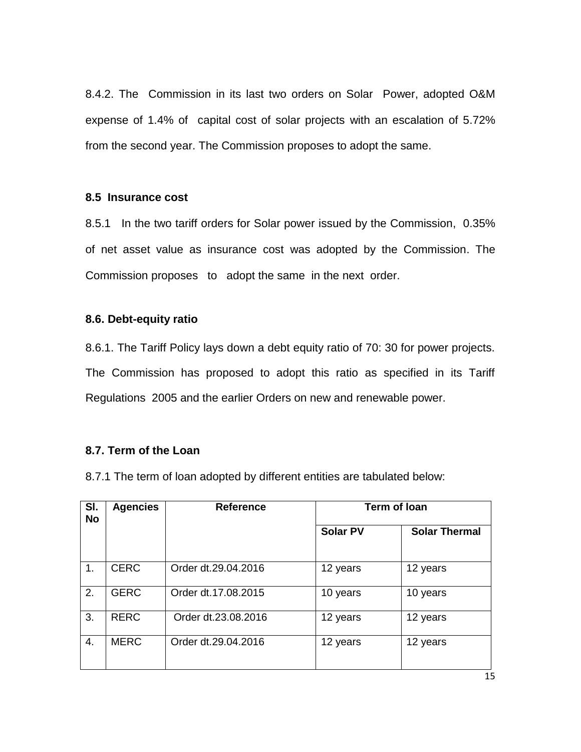8.4.2. The Commission in its last two orders on Solar Power, adopted O&M expense of 1.4% of capital cost of solar projects with an escalation of 5.72% from the second year. The Commission proposes to adopt the same.

## **8.5 Insurance cost**

8.5.1 In the two tariff orders for Solar power issued by the Commission, 0.35% of net asset value as insurance cost was adopted by the Commission. The Commission proposes to adopt the same in the next order.

## **8.6. Debt-equity ratio**

8.6.1. The Tariff Policy lays down a debt equity ratio of 70: 30 for power projects. The Commission has proposed to adopt this ratio as specified in its Tariff Regulations 2005 and the earlier Orders on new and renewable power.

## **8.7. Term of the Loan**

8.7.1 The term of loan adopted by different entities are tabulated below:

| SI.<br><b>No</b> | <b>Agencies</b> | <b>Reference</b>    | <b>Term of loan</b> |                      |  |  |  |  |  |  |
|------------------|-----------------|---------------------|---------------------|----------------------|--|--|--|--|--|--|
|                  |                 |                     | <b>Solar PV</b>     | <b>Solar Thermal</b> |  |  |  |  |  |  |
| 1.               | <b>CERC</b>     | Order dt.29.04.2016 | 12 years            | 12 years             |  |  |  |  |  |  |
| 2.               | <b>GERC</b>     | Order dt.17.08.2015 | 10 years            | 10 years             |  |  |  |  |  |  |
| 3.               | <b>RERC</b>     | Order dt.23.08.2016 | 12 years            | 12 years             |  |  |  |  |  |  |
| 4.               | <b>MERC</b>     | Order dt.29.04.2016 | 12 years            | 12 years             |  |  |  |  |  |  |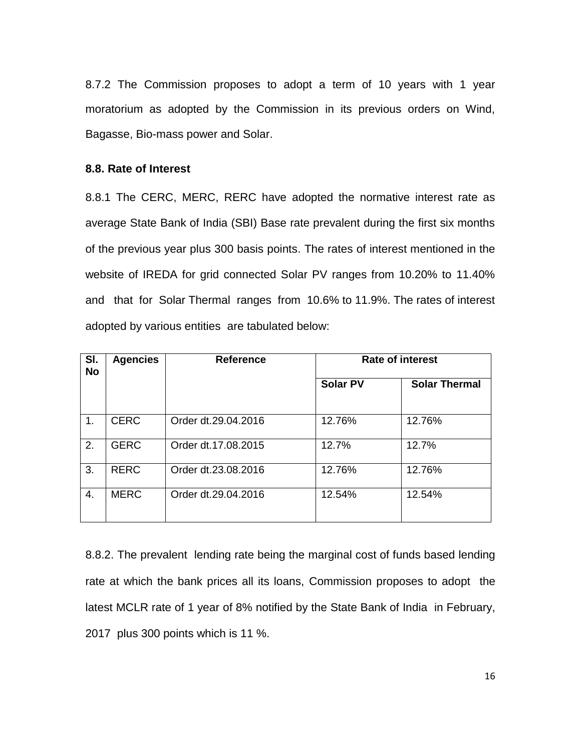8.7.2 The Commission proposes to adopt a term of 10 years with 1 year moratorium as adopted by the Commission in its previous orders on Wind, Bagasse, Bio-mass power and Solar.

## **8.8. Rate of Interest**

8.8.1 The CERC, MERC, RERC have adopted the normative interest rate as average State Bank of India (SBI) Base rate prevalent during the first six months of the previous year plus 300 basis points. The rates of interest mentioned in the website of IREDA for grid connected Solar PV ranges from 10.20% to 11.40% and that for Solar Thermal ranges from 10.6% to 11.9%. The rates of interest adopted by various entities are tabulated below:

| SI.<br><b>No</b> | <b>Agencies</b> | <b>Reference</b>    | <b>Rate of interest</b> |                      |  |  |  |  |  |  |
|------------------|-----------------|---------------------|-------------------------|----------------------|--|--|--|--|--|--|
|                  |                 |                     | <b>Solar PV</b>         | <b>Solar Thermal</b> |  |  |  |  |  |  |
| 1.               | <b>CERC</b>     | Order dt.29.04.2016 | 12.76%                  | 12.76%               |  |  |  |  |  |  |
| 2.               | <b>GERC</b>     | Order dt.17.08.2015 | 12.7%                   | 12.7%                |  |  |  |  |  |  |
| 3.               | <b>RERC</b>     | Order dt.23.08.2016 | 12.76%                  | 12.76%               |  |  |  |  |  |  |
| 4.               | <b>MERC</b>     | Order dt.29.04.2016 | 12.54%                  | 12.54%               |  |  |  |  |  |  |

8.8.2. The prevalent lending rate being the marginal cost of funds based lending rate at which the bank prices all its loans, Commission proposes to adopt the latest MCLR rate of 1 year of 8% notified by the State Bank of India in February, 2017 plus 300 points which is 11 %.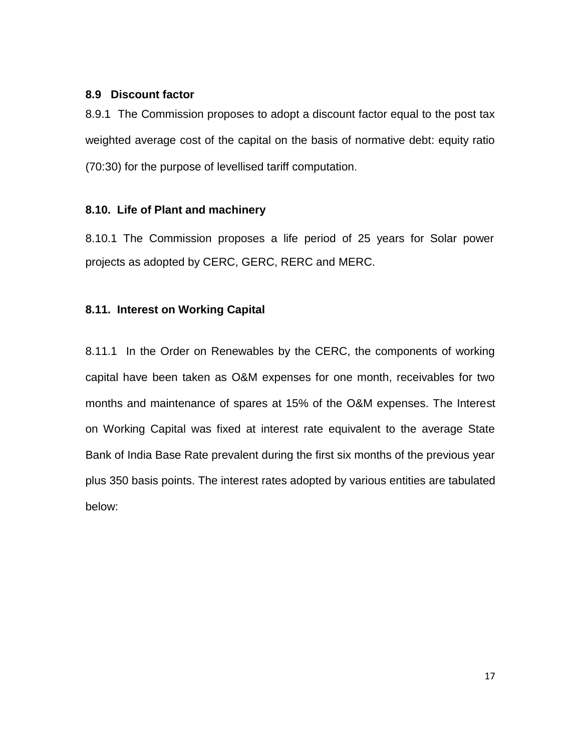## **8.9 Discount factor**

8.9.1 The Commission proposes to adopt a discount factor equal to the post tax weighted average cost of the capital on the basis of normative debt: equity ratio (70:30) for the purpose of levellised tariff computation.

# **8.10. Life of Plant and machinery**

8.10.1 The Commission proposes a life period of 25 years for Solar power projects as adopted by CERC, GERC, RERC and MERC.

# **8.11. Interest on Working Capital**

8.11.1 In the Order on Renewables by the CERC, the components of working capital have been taken as O&M expenses for one month, receivables for two months and maintenance of spares at 15% of the O&M expenses. The Interest on Working Capital was fixed at interest rate equivalent to the average State Bank of India Base Rate prevalent during the first six months of the previous year plus 350 basis points. The interest rates adopted by various entities are tabulated below: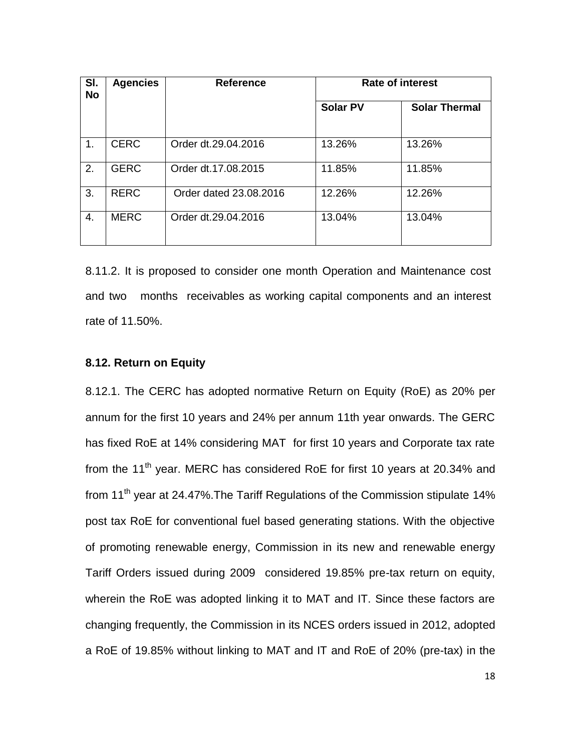| SI.<br><b>No</b> | <b>Agencies</b> | <b>Reference</b>       | <b>Rate of interest</b> |                      |  |  |  |  |  |  |
|------------------|-----------------|------------------------|-------------------------|----------------------|--|--|--|--|--|--|
|                  |                 |                        | <b>Solar PV</b>         | <b>Solar Thermal</b> |  |  |  |  |  |  |
| 1.               | <b>CERC</b>     | Order dt.29.04.2016    | 13.26%                  | 13.26%               |  |  |  |  |  |  |
| 2.               | <b>GERC</b>     | Order dt.17.08.2015    | 11.85%                  | 11.85%               |  |  |  |  |  |  |
| 3.               | <b>RERC</b>     | Order dated 23.08.2016 | 12.26%                  | 12.26%               |  |  |  |  |  |  |
| 4.               | <b>MERC</b>     | Order dt.29.04.2016    | 13.04%                  | 13.04%               |  |  |  |  |  |  |

8.11.2. It is proposed to consider one month Operation and Maintenance cost and two months receivables as working capital components and an interest rate of 11.50%.

# **8.12. Return on Equity**

8.12.1. The CERC has adopted normative Return on Equity (RoE) as 20% per annum for the first 10 years and 24% per annum 11th year onwards. The GERC has fixed RoE at 14% considering MAT for first 10 years and Corporate tax rate from the 11<sup>th</sup> year. MERC has considered RoE for first 10 years at 20.34% and from 11<sup>th</sup> year at 24.47%. The Tariff Regulations of the Commission stipulate 14% post tax RoE for conventional fuel based generating stations. With the objective of promoting renewable energy, Commission in its new and renewable energy Tariff Orders issued during 2009 considered 19.85% pre-tax return on equity, wherein the RoE was adopted linking it to MAT and IT. Since these factors are changing frequently, the Commission in its NCES orders issued in 2012, adopted a RoE of 19.85% without linking to MAT and IT and RoE of 20% (pre-tax) in the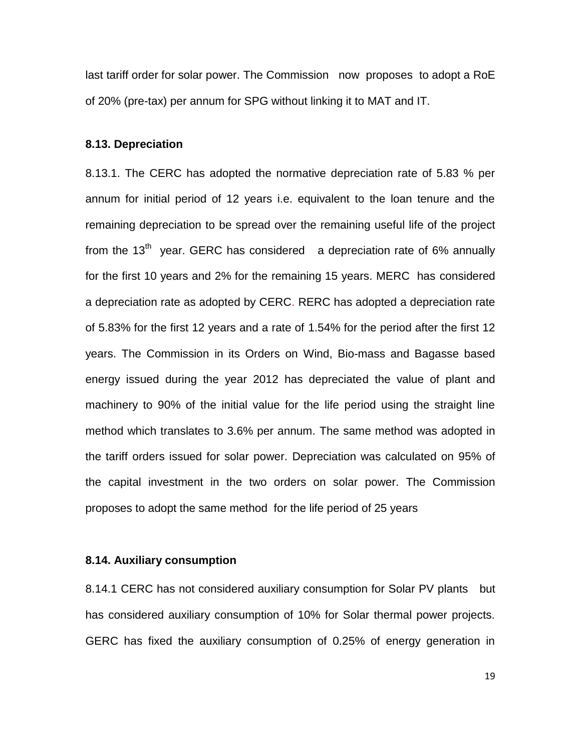last tariff order for solar power. The Commission now proposes to adopt a RoE of 20% (pre-tax) per annum for SPG without linking it to MAT and IT.

#### **8.13. Depreciation**

8.13.1. The CERC has adopted the normative depreciation rate of 5.83 % per annum for initial period of 12 years i.e. equivalent to the loan tenure and the remaining depreciation to be spread over the remaining useful life of the project from the  $13<sup>th</sup>$  year. GERC has considered a depreciation rate of 6% annually for the first 10 years and 2% for the remaining 15 years. MERC has considered a depreciation rate as adopted by CERC. RERC has adopted a depreciation rate of 5.83% for the first 12 years and a rate of 1.54% for the period after the first 12 years. The Commission in its Orders on Wind, Bio-mass and Bagasse based energy issued during the year 2012 has depreciated the value of plant and machinery to 90% of the initial value for the life period using the straight line method which translates to 3.6% per annum. The same method was adopted in the tariff orders issued for solar power. Depreciation was calculated on 95% of the capital investment in the two orders on solar power. The Commission proposes to adopt the same method for the life period of 25 years

### **8.14. Auxiliary consumption**

8.14.1 CERC has not considered auxiliary consumption for Solar PV plants but has considered auxiliary consumption of 10% for Solar thermal power projects. GERC has fixed the auxiliary consumption of 0.25% of energy generation in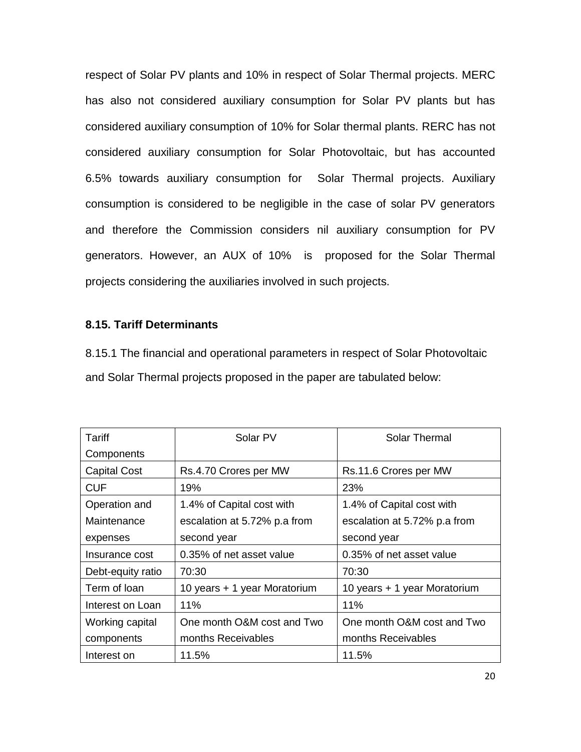respect of Solar PV plants and 10% in respect of Solar Thermal projects. MERC has also not considered auxiliary consumption for Solar PV plants but has considered auxiliary consumption of 10% for Solar thermal plants. RERC has not considered auxiliary consumption for Solar Photovoltaic, but has accounted 6.5% towards auxiliary consumption for Solar Thermal projects. Auxiliary consumption is considered to be negligible in the case of solar PV generators and therefore the Commission considers nil auxiliary consumption for PV generators. However, an AUX of 10% is proposed for the Solar Thermal projects considering the auxiliaries involved in such projects.

# **8.15. Tariff Determinants**

8.15.1 The financial and operational parameters in respect of Solar Photovoltaic and Solar Thermal projects proposed in the paper are tabulated below:

| Tariff              | Solar PV                     | <b>Solar Thermal</b>         |
|---------------------|------------------------------|------------------------------|
| Components          |                              |                              |
| <b>Capital Cost</b> | Rs.4.70 Crores per MW        | Rs.11.6 Crores per MW        |
| <b>CUF</b>          | 19%                          | 23%                          |
| Operation and       | 1.4% of Capital cost with    | 1.4% of Capital cost with    |
| Maintenance         | escalation at 5.72% p.a from | escalation at 5.72% p.a from |
| expenses            | second year                  | second year                  |
| Insurance cost      | 0.35% of net asset value     | 0.35% of net asset value     |
| Debt-equity ratio   | 70:30                        | 70:30                        |
| Term of loan        | 10 years + 1 year Moratorium | 10 years + 1 year Moratorium |
| Interest on Loan    | 11%                          | 11%                          |
| Working capital     | One month O&M cost and Two   | One month O&M cost and Two   |
| components          | months Receivables           | months Receivables           |
| Interest on         | 11.5%                        | 11.5%                        |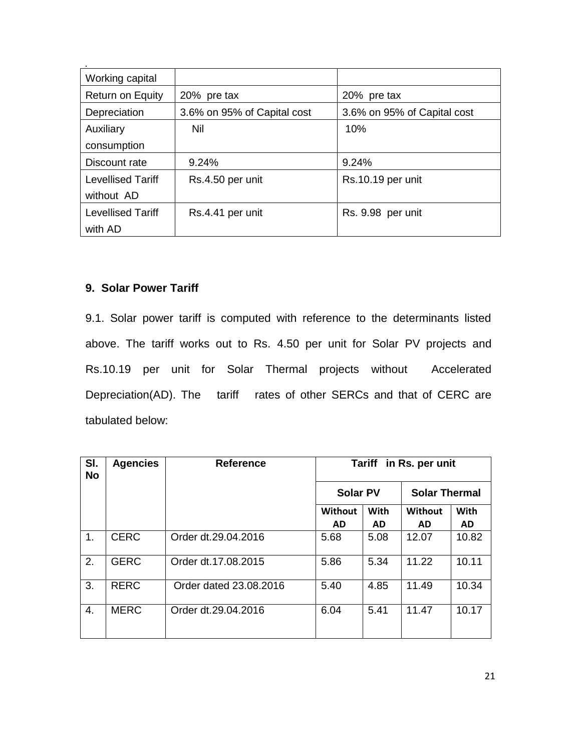| Working capital          |                             |                             |
|--------------------------|-----------------------------|-----------------------------|
| <b>Return on Equity</b>  | 20% pre tax                 | 20% pre tax                 |
| Depreciation             | 3.6% on 95% of Capital cost | 3.6% on 95% of Capital cost |
| Auxiliary                | Nil                         | 10%                         |
| consumption              |                             |                             |
| Discount rate            | 9.24%                       | 9.24%                       |
| Levellised Tariff        | Rs.4.50 per unit            | Rs.10.19 per unit           |
| without AD               |                             |                             |
| <b>Levellised Tariff</b> | Rs.4.41 per unit            | Rs. 9.98 per unit           |
| with AD                  |                             |                             |

# **9. Solar Power Tariff**

9.1. Solar power tariff is computed with reference to the determinants listed above. The tariff works out to Rs. 4.50 per unit for Solar PV projects and Rs.10.19 per unit for Solar Thermal projects without Accelerated Depreciation(AD). The tariff rates of other SERCs and that of CERC are tabulated below:

| SI.<br><b>No</b> | <b>Agencies</b> | <b>Reference</b>       | in Rs. per unit<br><b>Tariff</b> |           |                      |             |  |  |  |  |  |  |  |
|------------------|-----------------|------------------------|----------------------------------|-----------|----------------------|-------------|--|--|--|--|--|--|--|
|                  |                 |                        | <b>Solar PV</b>                  |           | <b>Solar Thermal</b> |             |  |  |  |  |  |  |  |
|                  |                 |                        | Without                          | With      | Without              | <b>With</b> |  |  |  |  |  |  |  |
|                  |                 |                        | <b>AD</b>                        | <b>AD</b> | <b>AD</b>            | <b>AD</b>   |  |  |  |  |  |  |  |
| 1.               | <b>CERC</b>     | Order dt.29.04.2016    | 5.68                             | 5.08      | 12.07                | 10.82       |  |  |  |  |  |  |  |
| 2.               | <b>GERC</b>     | Order dt.17.08.2015    | 5.86                             | 5.34      | 11.22                | 10.11       |  |  |  |  |  |  |  |
| 3.               | <b>RERC</b>     | Order dated 23.08.2016 | 5.40                             | 4.85      | 11.49                | 10.34       |  |  |  |  |  |  |  |
| 4.               | <b>MERC</b>     | Order dt.29.04.2016    | 6.04                             | 5.41      | 11.47                | 10.17       |  |  |  |  |  |  |  |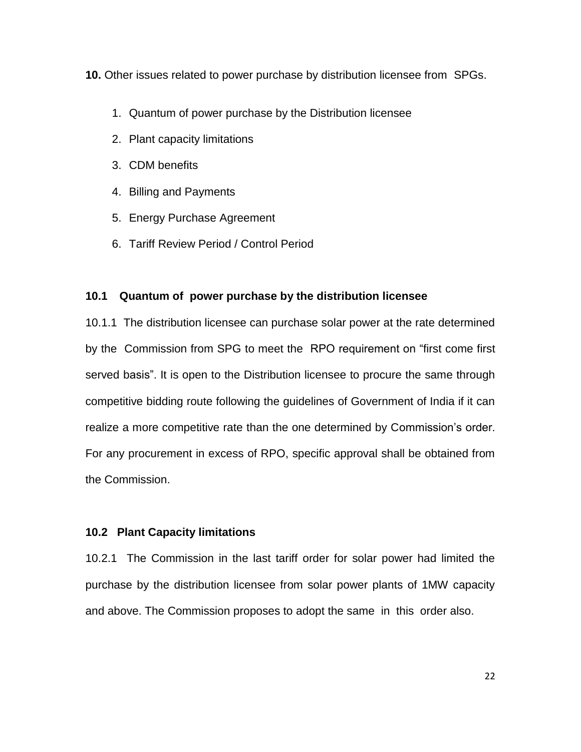**10.** Other issues related to power purchase by distribution licensee from SPGs.

- 1. Quantum of power purchase by the Distribution licensee
- 2. Plant capacity limitations
- 3. CDM benefits
- 4. Billing and Payments
- 5. Energy Purchase Agreement
- 6. Tariff Review Period / Control Period

# **10.1 Quantum of power purchase by the distribution licensee**

10.1.1 The distribution licensee can purchase solar power at the rate determined by the Commission from SPG to meet the RPO requirement on "first come first served basis". It is open to the Distribution licensee to procure the same through competitive bidding route following the guidelines of Government of India if it can realize a more competitive rate than the one determined by Commission's order. For any procurement in excess of RPO, specific approval shall be obtained from the Commission.

# **10.2 Plant Capacity limitations**

10.2.1 The Commission in the last tariff order for solar power had limited the purchase by the distribution licensee from solar power plants of 1MW capacity and above. The Commission proposes to adopt the same in this order also.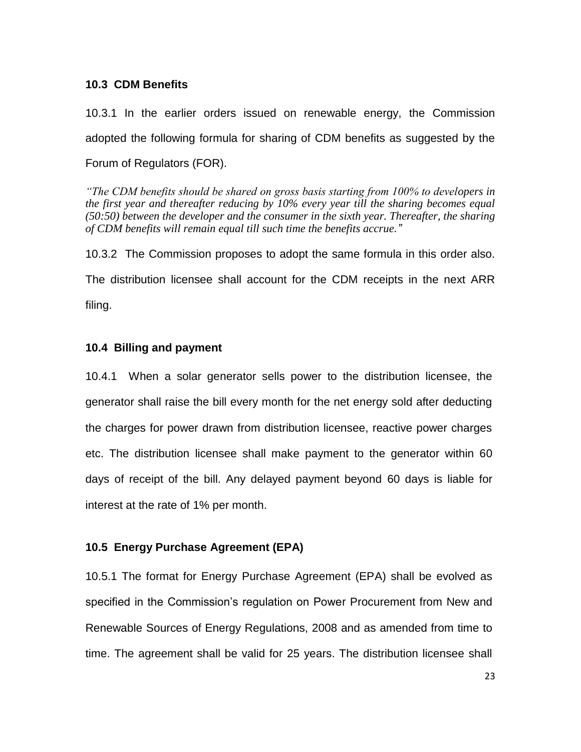## **10.3 CDM Benefits**

10.3.1 In the earlier orders issued on renewable energy, the Commission adopted the following formula for sharing of CDM benefits as suggested by the Forum of Regulators (FOR).

*"The CDM benefits should be shared on gross basis starting from 100% to developers in the first year and thereafter reducing by 10% every year till the sharing becomes equal (50:50) between the developer and the consumer in the sixth year. Thereafter, the sharing of CDM benefits will remain equal till such time the benefits accrue."*

10.3.2 The Commission proposes to adopt the same formula in this order also. The distribution licensee shall account for the CDM receipts in the next ARR filing.

## **10.4 Billing and payment**

10.4.1 When a solar generator sells power to the distribution licensee, the generator shall raise the bill every month for the net energy sold after deducting the charges for power drawn from distribution licensee, reactive power charges etc. The distribution licensee shall make payment to the generator within 60 days of receipt of the bill. Any delayed payment beyond 60 days is liable for interest at the rate of 1% per month.

### **10.5 Energy Purchase Agreement (EPA)**

10.5.1 The format for Energy Purchase Agreement (EPA) shall be evolved as specified in the Commission's regulation on Power Procurement from New and Renewable Sources of Energy Regulations, 2008 and as amended from time to time. The agreement shall be valid for 25 years. The distribution licensee shall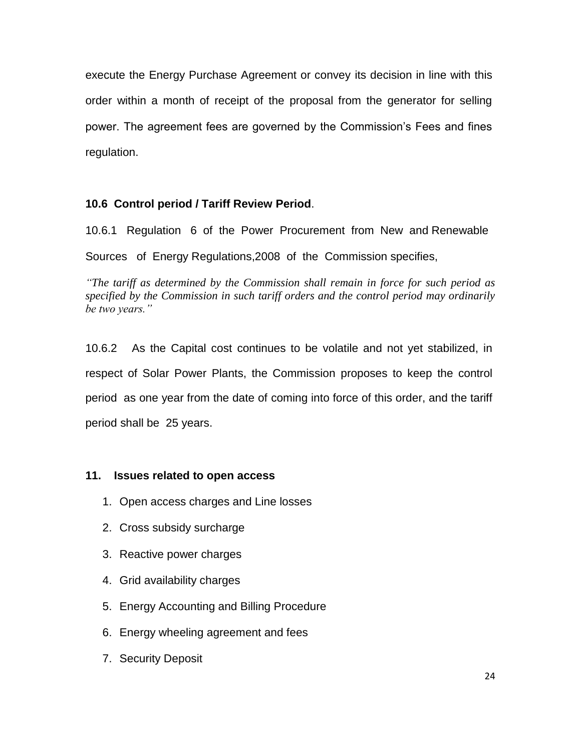execute the Energy Purchase Agreement or convey its decision in line with this order within a month of receipt of the proposal from the generator for selling power. The agreement fees are governed by the Commission's Fees and fines regulation.

## **10.6 Control period / Tariff Review Period**.

10.6.1 Regulation 6 of the Power Procurement from New and Renewable Sources of Energy Regulations,2008 of the Commission specifies,

*"The tariff as determined by the Commission shall remain in force for such period as specified by the Commission in such tariff orders and the control period may ordinarily be two years."*

10.6.2 As the Capital cost continues to be volatile and not yet stabilized, in respect of Solar Power Plants, the Commission proposes to keep the control period as one year from the date of coming into force of this order, and the tariff period shall be 25 years.

## **11. Issues related to open access**

- 1. Open access charges and Line losses
- 2. Cross subsidy surcharge
- 3. Reactive power charges
- 4. Grid availability charges
- 5. Energy Accounting and Billing Procedure
- 6. Energy wheeling agreement and fees
- 7. Security Deposit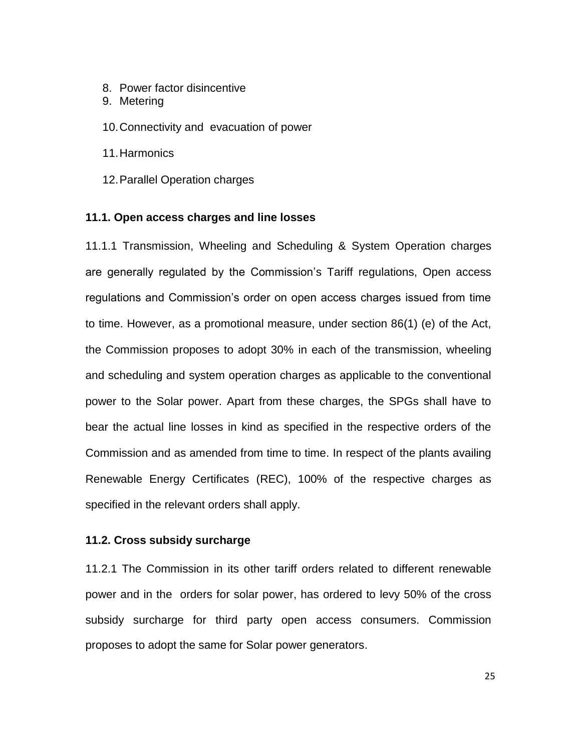- 8. Power factor disincentive
- 9. Metering
- 10.Connectivity and evacuation of power
- 11.Harmonics
- 12.Parallel Operation charges

### **11.1. Open access charges and line losses**

11.1.1 Transmission, Wheeling and Scheduling & System Operation charges are generally regulated by the Commission's Tariff regulations, Open access regulations and Commission's order on open access charges issued from time to time. However, as a promotional measure, under section 86(1) (e) of the Act, the Commission proposes to adopt 30% in each of the transmission, wheeling and scheduling and system operation charges as applicable to the conventional power to the Solar power. Apart from these charges, the SPGs shall have to bear the actual line losses in kind as specified in the respective orders of the Commission and as amended from time to time. In respect of the plants availing Renewable Energy Certificates (REC), 100% of the respective charges as specified in the relevant orders shall apply.

### **11.2. Cross subsidy surcharge**

11.2.1 The Commission in its other tariff orders related to different renewable power and in the orders for solar power, has ordered to levy 50% of the cross subsidy surcharge for third party open access consumers. Commission proposes to adopt the same for Solar power generators.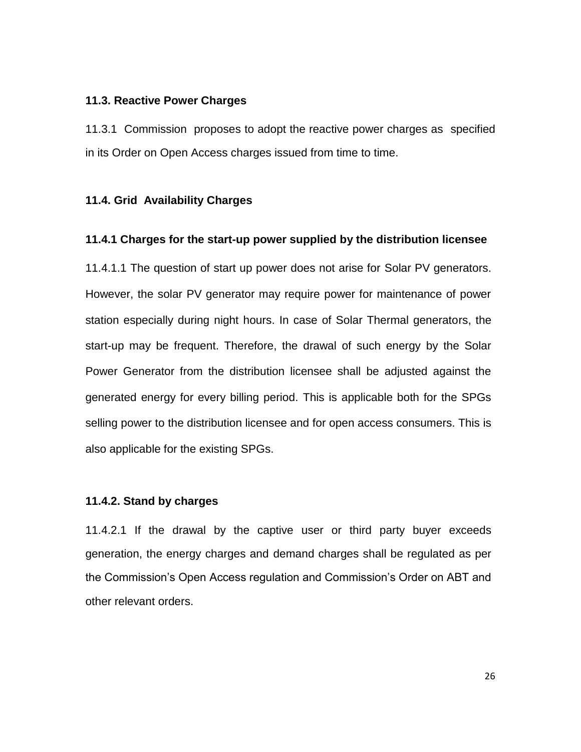### **11.3. Reactive Power Charges**

11.3.1 Commission proposes to adopt the reactive power charges as specified in its Order on Open Access charges issued from time to time.

### **11.4. Grid Availability Charges**

### **11.4.1 Charges for the start-up power supplied by the distribution licensee**

11.4.1.1 The question of start up power does not arise for Solar PV generators. However, the solar PV generator may require power for maintenance of power station especially during night hours. In case of Solar Thermal generators, the start-up may be frequent. Therefore, the drawal of such energy by the Solar Power Generator from the distribution licensee shall be adjusted against the generated energy for every billing period. This is applicable both for the SPGs selling power to the distribution licensee and for open access consumers. This is also applicable for the existing SPGs.

### **11.4.2. Stand by charges**

11.4.2.1 If the drawal by the captive user or third party buyer exceeds generation, the energy charges and demand charges shall be regulated as per the Commission's Open Access regulation and Commission's Order on ABT and other relevant orders.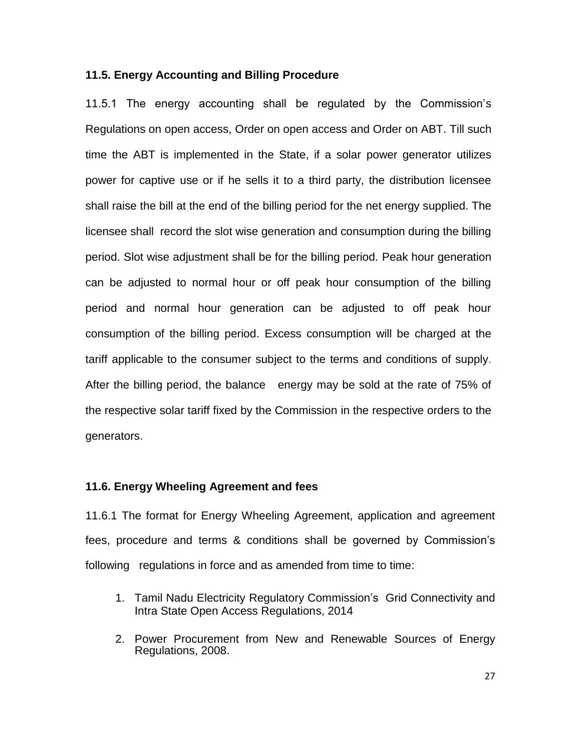### **11.5. Energy Accounting and Billing Procedure**

11.5.1 The energy accounting shall be regulated by the Commission's Regulations on open access, Order on open access and Order on ABT. Till such time the ABT is implemented in the State, if a solar power generator utilizes power for captive use or if he sells it to a third party, the distribution licensee shall raise the bill at the end of the billing period for the net energy supplied. The licensee shall record the slot wise generation and consumption during the billing period. Slot wise adjustment shall be for the billing period. Peak hour generation can be adjusted to normal hour or off peak hour consumption of the billing period and normal hour generation can be adjusted to off peak hour consumption of the billing period. Excess consumption will be charged at the tariff applicable to the consumer subject to the terms and conditions of supply. After the billing period, the balance energy may be sold at the rate of 75% of the respective solar tariff fixed by the Commission in the respective orders to the generators.

## **11.6. Energy Wheeling Agreement and fees**

11.6.1 The format for Energy Wheeling Agreement, application and agreement fees, procedure and terms & conditions shall be governed by Commission's following regulations in force and as amended from time to time:

- 1. Tamil Nadu Electricity Regulatory Commission's Grid Connectivity and Intra State Open Access Regulations, 2014
- 2. Power Procurement from New and Renewable Sources of Energy Regulations, 2008.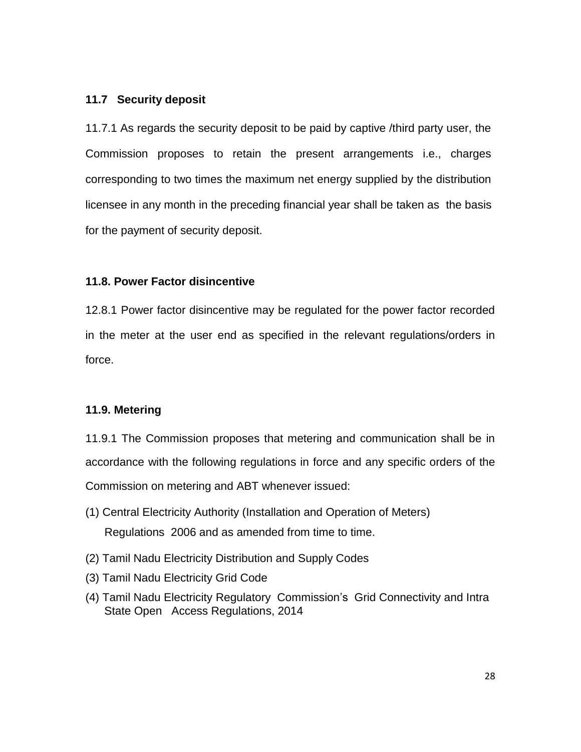## **11.7 Security deposit**

11.7.1 As regards the security deposit to be paid by captive /third party user, the Commission proposes to retain the present arrangements i.e., charges corresponding to two times the maximum net energy supplied by the distribution licensee in any month in the preceding financial year shall be taken as the basis for the payment of security deposit.

## **11.8. Power Factor disincentive**

12.8.1 Power factor disincentive may be regulated for the power factor recorded in the meter at the user end as specified in the relevant regulations/orders in force.

# **11.9. Metering**

11.9.1 The Commission proposes that metering and communication shall be in accordance with the following regulations in force and any specific orders of the Commission on metering and ABT whenever issued:

- (1) Central Electricity Authority (Installation and Operation of Meters) Regulations 2006 and as amended from time to time.
- (2) Tamil Nadu Electricity Distribution and Supply Codes
- (3) Tamil Nadu Electricity Grid Code
- (4) Tamil Nadu Electricity Regulatory Commission's Grid Connectivity and Intra State Open Access Regulations, 2014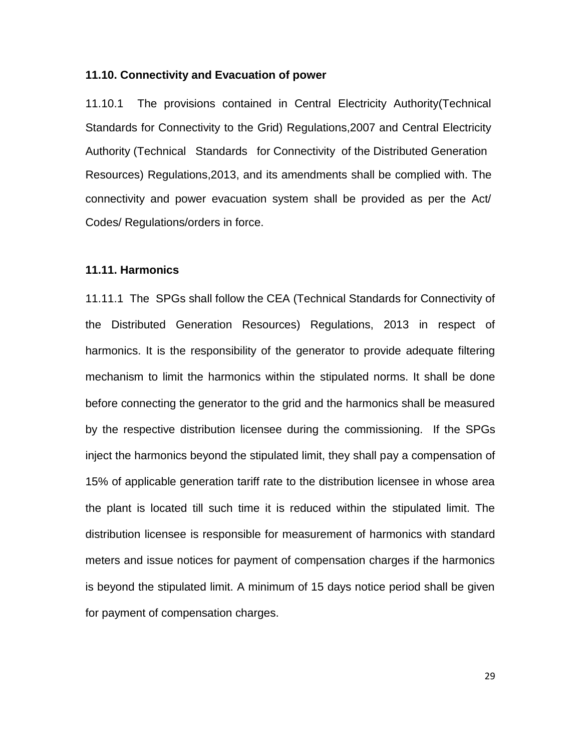### **11.10. Connectivity and Evacuation of power**

11.10.1 The provisions contained in Central Electricity Authority(Technical Standards for Connectivity to the Grid) Regulations,2007 and Central Electricity Authority (Technical Standards for Connectivity of the Distributed Generation Resources) Regulations,2013, and its amendments shall be complied with. The connectivity and power evacuation system shall be provided as per the Act/ Codes/ Regulations/orders in force.

## **11.11. Harmonics**

11.11.1 The SPGs shall follow the CEA (Technical Standards for Connectivity of the Distributed Generation Resources) Regulations, 2013 in respect of harmonics. It is the responsibility of the generator to provide adequate filtering mechanism to limit the harmonics within the stipulated norms. It shall be done before connecting the generator to the grid and the harmonics shall be measured by the respective distribution licensee during the commissioning. If the SPGs inject the harmonics beyond the stipulated limit, they shall pay a compensation of 15% of applicable generation tariff rate to the distribution licensee in whose area the plant is located till such time it is reduced within the stipulated limit. The distribution licensee is responsible for measurement of harmonics with standard meters and issue notices for payment of compensation charges if the harmonics is beyond the stipulated limit. A minimum of 15 days notice period shall be given for payment of compensation charges.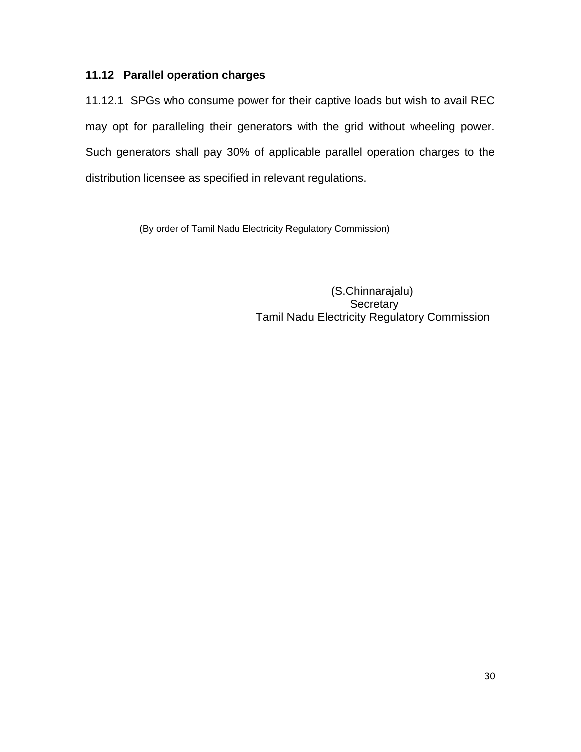# **11.12 Parallel operation charges**

11.12.1 SPGs who consume power for their captive loads but wish to avail REC may opt for paralleling their generators with the grid without wheeling power. Such generators shall pay 30% of applicable parallel operation charges to the distribution licensee as specified in relevant regulations.

(By order of Tamil Nadu Electricity Regulatory Commission)

 (S.Chinnarajalu) **Secretary** Tamil Nadu Electricity Regulatory Commission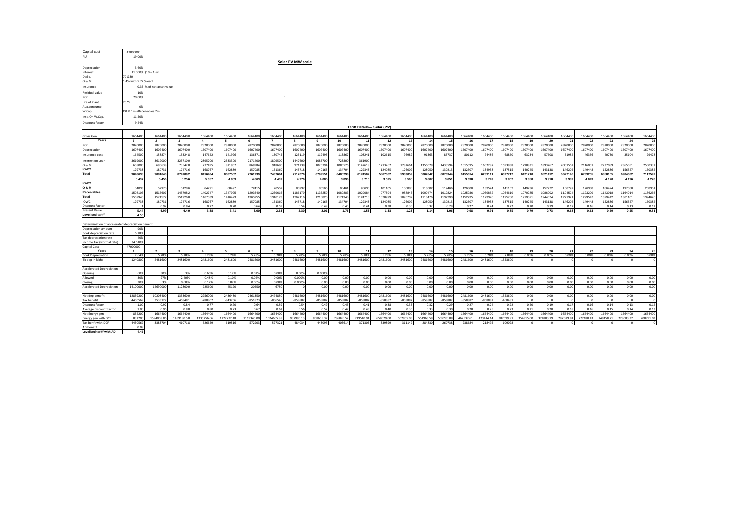| Capital cost                                      | 47000000                      |                           |                         |                         |                         |                         |                         |                        |                        |                        |                        |                        |                        |                        |                        |                        |                        |                        |           |              |                       |           |           |           |                |
|---------------------------------------------------|-------------------------------|---------------------------|-------------------------|-------------------------|-------------------------|-------------------------|-------------------------|------------------------|------------------------|------------------------|------------------------|------------------------|------------------------|------------------------|------------------------|------------------------|------------------------|------------------------|-----------|--------------|-----------------------|-----------|-----------|-----------|----------------|
| PLF                                               | 19.00%<br>Solar PV MW scale   |                           |                         |                         |                         |                         |                         |                        |                        |                        |                        |                        |                        |                        |                        |                        |                        |                        |           |              |                       |           |           |           |                |
|                                                   |                               |                           |                         |                         |                         |                         |                         |                        |                        |                        |                        |                        |                        |                        |                        |                        |                        |                        |           |              |                       |           |           |           |                |
| Depreciation                                      | 3.60%                         |                           |                         |                         |                         |                         |                         |                        |                        |                        |                        |                        |                        |                        |                        |                        |                        |                        |           |              |                       |           |           |           |                |
| Interest                                          |                               | 11.000% $(10 + 1)$ yr.    |                         |                         |                         |                         |                         |                        |                        |                        |                        |                        |                        |                        |                        |                        |                        |                        |           |              |                       |           |           |           |                |
| Dt:Eq.                                            | 70 & 30                       |                           |                         |                         |                         |                         |                         |                        |                        |                        |                        |                        |                        |                        |                        |                        |                        |                        |           |              |                       |           |           |           |                |
| 0 & M                                             | 1.4% with 5.72 % escl.        |                           |                         |                         |                         |                         |                         |                        |                        |                        |                        |                        |                        |                        |                        |                        |                        |                        |           |              |                       |           |           |           |                |
| Insurance                                         |                               | 0.35 % of net asset value |                         |                         |                         |                         |                         |                        |                        |                        |                        |                        |                        |                        |                        |                        |                        |                        |           |              |                       |           |           |           |                |
| Residual value                                    | 10%                           |                           |                         |                         |                         |                         |                         |                        |                        |                        |                        |                        |                        |                        |                        |                        |                        |                        |           |              |                       |           |           |           |                |
| ROE                                               | 20.00%                        |                           |                         |                         |                         |                         |                         |                        |                        |                        |                        |                        |                        |                        |                        |                        |                        |                        |           |              |                       |           |           |           |                |
| Life of Plant                                     | 25 Yr.                        |                           |                         |                         |                         |                         |                         |                        |                        |                        |                        |                        |                        |                        |                        |                        |                        |                        |           |              |                       |           |           |           |                |
| Aux.consump.                                      | 0%                            |                           |                         |                         |                         |                         |                         |                        |                        |                        |                        |                        |                        |                        |                        |                        |                        |                        |           |              |                       |           |           |           |                |
| W.Cap.                                            | O&M 1m +Receivables 2m.       |                           |                         |                         |                         |                         |                         |                        |                        |                        |                        |                        |                        |                        |                        |                        |                        |                        |           |              |                       |           |           |           |                |
| Inst. On W.Cap.                                   | 11.50%                        |                           |                         |                         |                         |                         |                         |                        |                        |                        |                        |                        |                        |                        |                        |                        |                        |                        |           |              |                       |           |           |           |                |
| Discount factor                                   | 9.24%                         |                           |                         |                         |                         |                         |                         |                        |                        |                        |                        |                        |                        |                        |                        |                        |                        |                        |           |              |                       |           |           |           |                |
|                                                   | Tariff Details--- Solar.(P/V) |                           |                         |                         |                         |                         |                         |                        |                        |                        |                        |                        |                        |                        |                        |                        |                        |                        |           |              |                       |           |           |           |                |
| Gross Gen                                         | 1664400                       | 1664400                   | 1664400                 | 1664400                 | 1664400                 | 1664400                 | 1664400                 | 1664400                | 1664400                | 1664400                | 1664400                | 1664400                | 1664400                | 1664400                | 1664400                | 1664400                | 1664400                | 1664400                | 1664400   | 1664400      | 1664400               | 1664400   | 1664400   | 1664400   | 1664400        |
| Years                                             |                               | $\overline{2}$            | $3^{\circ}$             | $\overline{4}$          | 5                       | 6                       | $\overline{7}$          | 8                      | 9                      | 10                     | 11                     | 12                     | 13                     | 14                     |                        | 16                     | 17                     | 18                     | 10        | 20           | 21                    | 22        | 23        | 24        | 25             |
| ROE                                               | 2820000                       | 2820000                   | 2820000                 | 2820000                 | 2820000                 | 2820000                 | 2820000                 | 2820000                | 2820000                | 2820000                | 2820000                | 2820000                | 2820000                | 2820000                | 2820000                | 2820000                | 2820000                | 2820000                | 2820000   | 2820000      | 2820000               | 2820000   | 2820000   | 2820000   | 2820000        |
| Depreciation                                      | 1607400                       | 1607400                   | 1607400                 | 1607400                 | 1607400                 | 1607400                 | 1607400                 | 1607400                | 1607400                | 1607400                | 1607400                | 1607400                | 1607400                | 1607400                | 1607400                | 1607400                | 1607400                | 1607400                | 1607400   | 1607400      | 1607400               | 1607400   | 1607400   | 1607400   | 1607400        |
| Insurance cost                                    | 164500                        | 158874                    | 153248                  | 147622                  | 141996                  | 136371                  | 130745                  | 125119                 | 119493                 | 113867                 | 108241                 | 102615                 | 96989                  | 91363                  | 85737                  | 80112                  | 74486                  | 68860                  | 63234     | 57608        | 51982                 | 46356     | 40730     | 35104     | 29478          |
| Interest on Loan                                  | 3619000                       | 3619000                   | 3257100                 | 2895200                 | 2533300                 | 2171400                 | 1809500                 | 1447600                | 1085700                | 723800                 | 361900                 |                        |                        |                        |                        |                        |                        |                        |           |              |                       |           |           |           |                |
| 0 & M                                             | 658000                        | 695638                    | 735428                  | 777495                  | 821967                  | 868984                  | 918690                  | 971239                 | 1026794                | 1085526                | 1147618                | 1213262                | 1282661                | 1356029                | 1433594                | 1515595                | 1602287                | 1693938                | 1790831   | 1893267      | 2001562               | 2116051   | 2237089   | 2365051   | 2500332        |
| <b>IOWC</b>                                       | 179738                        | 180731                    | 174716                  | 168767                  | 162889                  | 157085                  | 151360                  | 145718                 | 140165                 | 134704                 | 129343                 | 124085                 | 126009                 | 128050                 | 130213                 | 132507                 | 134938                 | 137515                 | 140245    | 143138       | 146202                | 149448    | 152886    | 156527    | 160382         |
| Total                                             | 9048638                       | 9081643                   | 8747892                 | 8416484                 | 8087552                 | 7761239                 | 7437694                 | 7117076                | 6799551                | 6485298                | 6174502                | 5867362                | 5933059                | 6002842                | 6076944                | 6155614                | 6239111                | 6327712                | 6421710   | 6521412      | 6627146               | 6739255   | 6858105   | 6984082   | 7117592        |
| <b>IOWC</b>                                       | 5.437                         | 5.456                     | 5.256                   | 5.057                   | 4.859                   | 4.663                   | 4.469                   | 4.276                  | 4.085                  | 3.896                  | 3.710                  | 3.525                  | 3.565                  | 3.607                  | 3.651                  | 3.698                  | 3.749                  | 3.802                  | 3.858     | 3.918        | 3.982                 | 4.049     | 4.120     | 4.196     | 4.276          |
| lo & M                                            | 54833                         | 57970                     | 61286                   | 64791                   | 68497                   | 72415                   | 76557                   | 80937                  | 85566                  | 90461                  | 95635                  | 101105                 | 106888                 | 113002                 | 119466                 | 126300                 | 133524                 | 141162                 | 149236    | 157772       | 166797                | 176338    | 186424    | 197088    | 208361         |
| Receivables                                       | 1508106                       | 1513607                   | 1457982                 | 1402747                 | 1347925                 | 1293540                 | 1239616                 | 1186179                | 1133259                | 1080883                | 1029084                | 977894                 | 988843                 | 1000474                | 1012824                | 1025936                | 1039852                | 1054619                | 1070285   | 1086902      | 1104524               | 1123209   | 1143018   | 1164014   | 1186265        |
| Total                                             | 1562940                       | 1571577                   | 1519268                 | 1467539                 | 1416423                 | 1365955                 | 1316173                 | 1267116                | 1218825                | 1171343                | 1124718                | 1078999                | 1095732                | 1113476                | 1132290                | 1152235                | 1173376                | 1195780                | 1219521   | 1244674      | 1271321               | 1299547   | 1329442   | 1361101   | 1394626        |
| <b>IOWC</b>                                       | 179738                        | 180731                    | 174716                  | 168767                  | 162889                  | 157085                  | 151360                  | 145718                 | 14016                  | 134704                 | 129343                 | 124085                 | 126009                 | 128050                 | 130213                 | 132507                 | 134938                 | 137515                 | 140245    | 143138       | 146202                | 149448    | 152886    | 156527    | 160382         |
| Discount Factor                                   |                               | 0.92                      | 0.84                    | 0.77                    | 0.70                    | 0.64                    | 0.59                    | 0.54                   | 0.49                   | 0.45                   | 0.41                   | 0.38                   | 0.35                   | 0.32                   | 0.29                   | 0.27                   | 0.24                   | 0.22                   | 0.20      | 0.19         | 0.17                  | 0.16      | 0.14      | 0.13      | 0.12           |
| Present Value<br><b>Levelised tariff</b>          | 5.44                          | 4.99                      | 4.40                    | 3.88                    | 3.41                    | 3.00                    | 2.63                    | 2.30                   | 2.01                   | 1.76                   | 1.53                   | 1.33                   | 1.23                   | 1.14                   | 1.06                   | 0.98                   | 0.91                   | 0.85                   | 0.79      | 0.73         | 0.68                  | 0.63      | 0.59      | 0.55      | 0.51           |
|                                                   | 4.50                          |                           |                         |                         |                         |                         |                         |                        |                        |                        |                        |                        |                        |                        |                        |                        |                        |                        |           |              |                       |           |           |           |                |
| Determination of accelerated depreciation benefit |                               |                           |                         |                         |                         |                         |                         |                        |                        |                        |                        |                        |                        |                        |                        |                        |                        |                        |           |              |                       |           |           |           |                |
| Depreciation amount                               | 90%                           |                           |                         |                         |                         |                         |                         |                        |                        |                        |                        |                        |                        |                        |                        |                        |                        |                        |           |              |                       |           |           |           |                |
| Book depreciation rate                            | 5.28%                         |                           |                         |                         |                         |                         |                         |                        |                        |                        |                        |                        |                        |                        |                        |                        |                        |                        |           |              |                       |           |           |           |                |
| Tax depreciation rate                             | 40%                           |                           |                         |                         |                         |                         |                         |                        |                        |                        |                        |                        |                        |                        |                        |                        |                        |                        |           |              |                       |           |           |           |                |
| Income Tax (Normal rate)                          | 34.610%                       |                           |                         |                         |                         |                         |                         |                        |                        |                        |                        |                        |                        |                        |                        |                        |                        |                        |           |              |                       |           |           |           |                |
| Capital Cost<br>Years                             | 47000000<br>$\sim$            | $\overline{2}$            | $\mathbf{3}$            | $\mathbf{A}$            | $\sim$                  | 6                       | $\overline{7}$          | $\mathbf{R}$           | $\alpha$               | 10                     | 11                     | 12                     | 13                     | $\overline{14}$        | 15                     | 16                     | 17                     | 18                     | 19        | 20           | 21                    | 22        | 23        | 24        | 25             |
| <b>Book Depreciation</b>                          | 2.64%                         | 5.28%                     | 5.28%                   | 5.28%                   | 5.28%                   | 5.28%                   | 5.28%                   | 5.28%                  | 5.28%                  | 5.28%                  | 5.28%                  | 5.28%                  | 5.28%                  | 5.28%                  | 5.28%                  | 5.28%                  | 5.28%                  | 2.88%                  | 0.00%     | 0.00%        | 0.00%                 | 0.00%     | 0.00%     | 0.00%     | 0.00%          |
| Bk dep in lakhs                                   | 1240800                       | 2481600                   | 2481600                 | 2481600                 | 2481600                 | 2481600                 | 2481600                 | 2481600                | 2481600                | 2481600                | 2481600                | 2481600                | 2481600                | 2481600                | 2481600                | 2481600                | 2481600                | 1353600                |           |              |                       |           |           |           |                |
|                                                   |                               |                           |                         |                         |                         |                         |                         |                        |                        |                        |                        |                        |                        |                        |                        |                        |                        |                        |           |              |                       |           |           |           |                |
| <b>Accelerated Depreciation</b>                   |                               |                           |                         |                         |                         |                         |                         |                        |                        |                        |                        |                        |                        |                        |                        |                        |                        |                        |           |              |                       |           |           |           |                |
| Opening                                           | 60%                           | 30%                       | 3%                      | 0.60%                   | 0.12%                   | 0.02%                   | 0.009                   | 0.00%                  | 0.0009                 |                        |                        |                        |                        |                        |                        |                        |                        |                        |           |              |                       |           |           |           |                |
| Allowed                                           | 30%                           | 27%                       | 2.40%                   | 0.48%                   | 0.10%                   | 0.02%                   | 0.00%                   | 0.000%                 | 0.00                   | 0.00                   | 0.00                   | 0.00                   | 0.00                   | 0.00                   | 0.00                   | 0.00                   | 0.00                   | 0.00                   | 0.00      | 0.00         | 0.00                  | 0.00      | 0.00      | 0.00      | 0.00           |
| Closing                                           | 30%                           | 3%                        | 0.60%                   | 0.12%                   | 0.02%                   | 0.00%                   | 0.00%                   | 0.000%                 | 0.00                   | 0.00                   | 0.00<br>0.00           | 0.00                   | 0.00                   | 0.00                   | 0.00                   | 0.00                   | 0.00<br>0.00           | 0.00                   | 0.00      | 0.00<br>0.00 | 0.00                  | 0.00      | 0.00      | 0.00      | 0.00           |
| <b>Accelerated Depreciation</b>                   | 14100000                      | 12690000                  | 1128000                 | 225600                  | 45120                   | 20250                   | 6750                    |                        | 0.00                   | 0.00                   |                        | 0.00                   | 0.00                   | 0.00                   | 0.00                   | 0.00                   |                        | 0.00                   | 0.00      |              | 0.00                  | 0.00      | 0.00      | 0.00      | 0.00           |
| Net dep benefit                                   | 12859200                      | 10208400                  | $-1353600$              | $-2256000$              | $-2436480$              | $-2461350$              | $-2474850$              | $-2481600$             | $-2481600$             | $-2481600$             | $-2481600$             | $-2481600$             | $-2481600$             | $-2481600$             | $-2481600$             | $-2481600$             | $-2481600$             | $-1353600$             | 0.00      | 0.00         | 0.00                  | 0.00      | 0.00      | 0.00      | 0.00           |
| Tax benefit                                       | 4450569                       | 3533127                   | $-468481$               | -780802                 | $-843266$               | $-85187$                | $-856546$               | $-858882$              | $-858882$              | $-858882$              | -858882                | $-858882$              | $-858882$              | $-858882$              | $-858882$              | -858882                | $-858882$              | $-468481$              |           |              |                       |           |           |           |                |
| Discount factor                                   | 1.00                          | 0.92                      | 0.84                    | 0.77                    | 0.70                    | 0.64                    | 0.59                    | 0.54                   | 0.49                   | 0.45                   | 0.41                   | 0.38                   | 0.35                   | 0.32                   | 0.29                   | 0.27                   | 0.24                   | 0.22                   | 0.20      | 0.19         | 0.17                  | 0.16      | 0.14      | 0.13      | 0.12           |
| Average discount factor                           | 1.00                          | 0.96                      | 0.88                    | 0.80                    | 0.73                    | 0.67                    | 0.62                    | 0.56                   | 0.52                   | 0.47                   | 0.43                   | 0.40                   | 0.36                   | 0.33                   | 0.30                   | 0.28                   | 0.25                   | 0.23                   | 0.21      | 0.20         | 0.18                  | 0.16      | 0.15      | 0.14      | 0.13           |
| Net Energy gen                                    | 832200                        | 1664400                   | 1664400                 | 1664400                 | 1664400                 | 1664400                 | 1664400                 | 1664400                | 1664400                | 1664400                | 1664400                | 1664400                | 1664400                | 1664400                | 1664400                | 1664400                | 1664400                | 1664400                | 1664400   | 1664400      | 1664400               | 1664400   | 1664400   | 1664400   | 1664400        |
| Energy gen with DCF<br>Tax benft with DCF         | 832200<br>4450569             | 1594008.86<br>3383704     | 1459180.58<br>$-410718$ | 1335756.66<br>$-626629$ | 1222772.48<br>$-619516$ | 1119345.00<br>$-572903$ | 1024665.88<br>$-527321$ | 937995.13<br>$-484034$ | 858655.37<br>$-443093$ | 786026.52<br>$-405614$ | 719540.94<br>$-371305$ | 658679.00<br>$-339899$ | 602965.03<br>$-311149$ | 551963.59<br>$-284830$ | 505276.08<br>$-260738$ | 462537.61<br>$-238684$ | 423414.14<br>$-218495$ | 387599.91<br>$-109098$ | 354815.00 | 324803.19    | 297329.91<br>$\Omega$ | 272180.43 | 249158.21 | 228083.32 | 208791.03<br>X |
|                                                   |                               |                           |                         |                         |                         |                         |                         |                        |                        |                        |                        |                        |                        |                        |                        |                        |                        |                        |           |              |                       |           |           |           |                |

AD benefit 0.09<br>**Levelised tariff with AD** 4.41